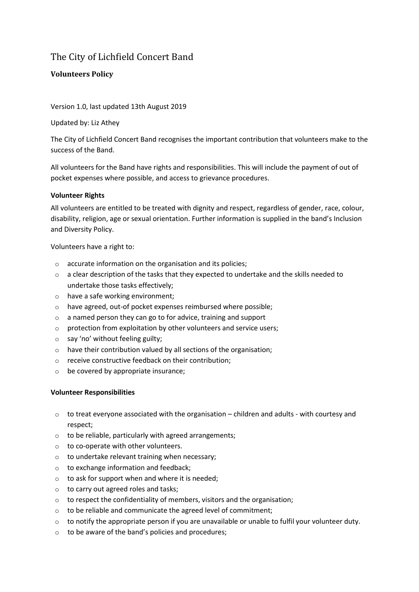## The City of Lichfield Concert Band

## **Volunteers Policy**

Version 1.0, last updated 13th August 2019

Updated by: Liz Athey

The City of Lichfield Concert Band recognises the important contribution that volunteers make to the success of the Band.

All volunteers for the Band have rights and responsibilities. This will include the payment of out of pocket expenses where possible, and access to grievance procedures.

## **Volunteer Rights**

All volunteers are entitled to be treated with dignity and respect, regardless of gender, race, colour, disability, religion, age or sexual orientation. Further information is supplied in the band's Inclusion and Diversity Policy.

Volunteers have a right to:

- o accurate information on the organisation and its policies;
- o a clear description of the tasks that they expected to undertake and the skills needed to undertake those tasks effectively;
- o have a safe working environment;
- o have agreed, out-of pocket expenses reimbursed where possible;
- o a named person they can go to for advice, training and support
- o protection from exploitation by other volunteers and service users;
- o say 'no' without feeling guilty;
- o have their contribution valued by all sections of the organisation;
- o receive constructive feedback on their contribution;
- o be covered by appropriate insurance;

## **Volunteer Responsibilities**

- $\circ$  to treat everyone associated with the organisation children and adults with courtesy and respect;
- $\circ$  to be reliable, particularly with agreed arrangements;
- o to co-operate with other volunteers.
- o to undertake relevant training when necessary;
- $\circ$  to exchange information and feedback;
- $\circ$  to ask for support when and where it is needed;
- o to carry out agreed roles and tasks;
- o to respect the confidentiality of members, visitors and the organisation;
- o to be reliable and communicate the agreed level of commitment;
- o to notify the appropriate person if you are unavailable or unable to fulfil your volunteer duty.
- o to be aware of the band's policies and procedures;